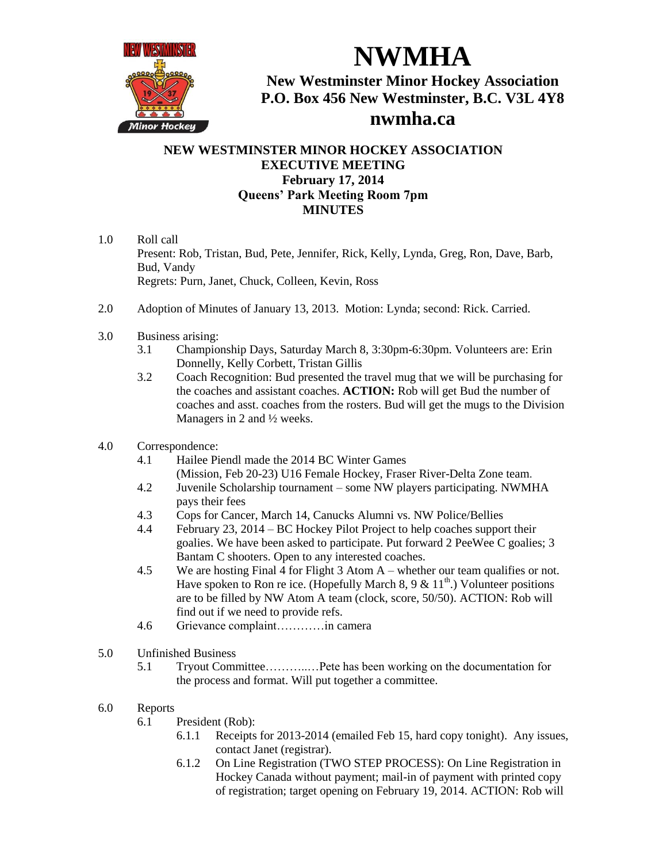

**NWMHA New Westminster Minor Hockey Association P.O. Box 456 New Westminster, B.C. V3L 4Y8 nwmha.ca**

## **NEW WESTMINSTER MINOR HOCKEY ASSOCIATION EXECUTIVE MEETING February 17, 2014 Queens' Park Meeting Room 7pm MINUTES**

- 1.0 Roll call Present: Rob, Tristan, Bud, Pete, Jennifer, Rick, Kelly, Lynda, Greg, Ron, Dave, Barb, Bud, Vandy Regrets: Purn, Janet, Chuck, Colleen, Kevin, Ross
- 2.0 Adoption of Minutes of January 13, 2013. Motion: Lynda; second: Rick. Carried.
- 3.0 Business arising:
	- 3.1 Championship Days, Saturday March 8, 3:30pm-6:30pm. Volunteers are: Erin Donnelly, Kelly Corbett, Tristan Gillis
	- 3.2 Coach Recognition: Bud presented the travel mug that we will be purchasing for the coaches and assistant coaches. **ACTION:** Rob will get Bud the number of coaches and asst. coaches from the rosters. Bud will get the mugs to the Division Managers in 2 and ½ weeks.
- 4.0 Correspondence:
	- 4.1 Hailee Piendl made the 2014 BC Winter Games (Mission, Feb 20-23) U16 Female Hockey, Fraser River-Delta Zone team.
	- 4.2 Juvenile Scholarship tournament some NW players participating. NWMHA pays their fees
	- 4.3 Cops for Cancer, March 14, Canucks Alumni vs. NW Police/Bellies
	- 4.4 February 23, 2014 BC Hockey Pilot Project to help coaches support their goalies. We have been asked to participate. Put forward 2 PeeWee C goalies; 3 Bantam C shooters. Open to any interested coaches.
	- 4.5 We are hosting Final 4 for Flight 3 Atom A whether our team qualifies or not. Have spoken to Ron re ice. (Hopefully March 8, 9 &  $11<sup>th</sup>$ .) Volunteer positions are to be filled by NW Atom A team (clock, score, 50/50). ACTION: Rob will find out if we need to provide refs.
	- 4.6 Grievance complaint…………in camera
- 5.0 Unfinished Business
	- 5.1 Tryout Committee………..…Pete has been working on the documentation for the process and format. Will put together a committee.
- 6.0 Reports
	- 6.1 President (Rob):
		- 6.1.1 Receipts for 2013-2014 (emailed Feb 15, hard copy tonight). Any issues, contact Janet (registrar).
		- 6.1.2 On Line Registration (TWO STEP PROCESS): On Line Registration in Hockey Canada without payment; mail-in of payment with printed copy of registration; target opening on February 19, 2014. ACTION: Rob will